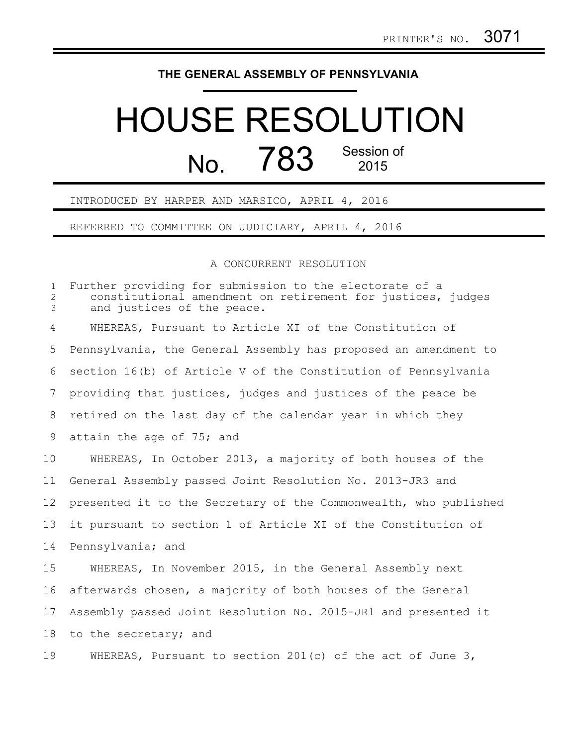## **THE GENERAL ASSEMBLY OF PENNSYLVANIA**

## HOUSE RESOLUTION No. 783 Session of 2015

INTRODUCED BY HARPER AND MARSICO, APRIL 4, 2016

REFERRED TO COMMITTEE ON JUDICIARY, APRIL 4, 2016

## A CONCURRENT RESOLUTION

Further providing for submission to the electorate of a constitutional amendment on retirement for justices, judges and justices of the peace. WHEREAS, Pursuant to Article XI of the Constitution of Pennsylvania, the General Assembly has proposed an amendment to section 16(b) of Article V of the Constitution of Pennsylvania providing that justices, judges and justices of the peace be retired on the last day of the calendar year in which they attain the age of 75; and WHEREAS, In October 2013, a majority of both houses of the General Assembly passed Joint Resolution No. 2013-JR3 and presented it to the Secretary of the Commonwealth, who published it pursuant to section 1 of Article XI of the Constitution of Pennsylvania; and WHEREAS, In November 2015, in the General Assembly next afterwards chosen, a majority of both houses of the General Assembly passed Joint Resolution No. 2015-JR1 and presented it to the secretary; and WHEREAS, Pursuant to section 201(c) of the act of June 3, 1 2 3 4 5 6 7 8 9 10 11 12 13 14 15 16 17 18 19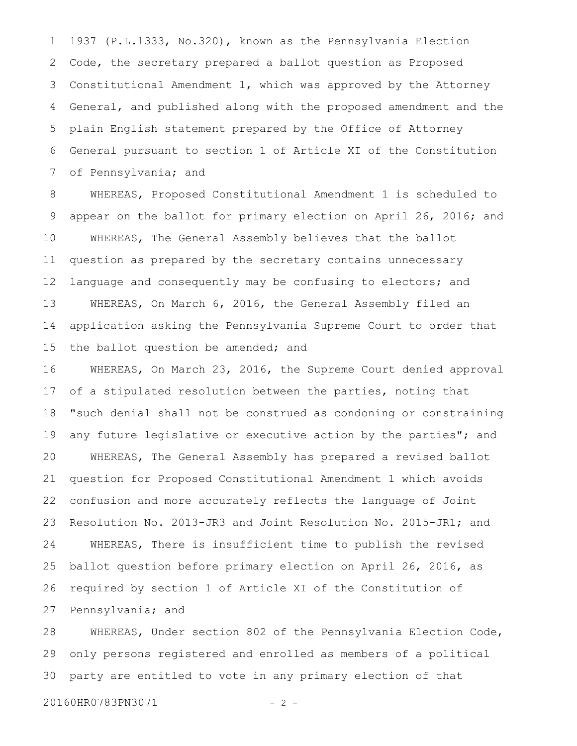1937 (P.L.1333, No.320), known as the Pennsylvania Election Code, the secretary prepared a ballot question as Proposed Constitutional Amendment 1, which was approved by the Attorney General, and published along with the proposed amendment and the plain English statement prepared by the Office of Attorney General pursuant to section 1 of Article XI of the Constitution of Pennsylvania; and 1 2 3 4 5 6 7

WHEREAS, Proposed Constitutional Amendment 1 is scheduled to appear on the ballot for primary election on April 26, 2016; and WHEREAS, The General Assembly believes that the ballot question as prepared by the secretary contains unnecessary language and consequently may be confusing to electors; and WHEREAS, On March 6, 2016, the General Assembly filed an application asking the Pennsylvania Supreme Court to order that the ballot question be amended; and 8 9 10 11 12 13 14 15

WHEREAS, On March 23, 2016, the Supreme Court denied approval of a stipulated resolution between the parties, noting that "such denial shall not be construed as condoning or constraining any future legislative or executive action by the parties"; and WHEREAS, The General Assembly has prepared a revised ballot question for Proposed Constitutional Amendment 1 which avoids confusion and more accurately reflects the language of Joint Resolution No. 2013-JR3 and Joint Resolution No. 2015-JR1; and WHEREAS, There is insufficient time to publish the revised ballot question before primary election on April 26, 2016, as required by section 1 of Article XI of the Constitution of Pennsylvania; and 16 17 18 19 20 21 22 23 24 25 26 27

WHEREAS, Under section 802 of the Pennsylvania Election Code, only persons registered and enrolled as members of a political party are entitled to vote in any primary election of that 28 29 30

20160HR0783PN3071 - 2 -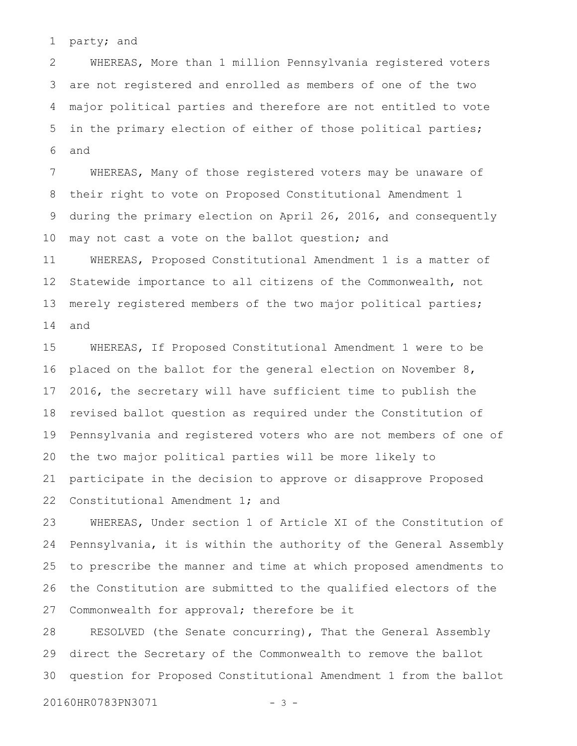party; and 1

WHEREAS, More than 1 million Pennsylvania registered voters are not registered and enrolled as members of one of the two major political parties and therefore are not entitled to vote in the primary election of either of those political parties; and 2 3 4 5 6

WHEREAS, Many of those registered voters may be unaware of their right to vote on Proposed Constitutional Amendment 1 during the primary election on April 26, 2016, and consequently may not cast a vote on the ballot question; and WHEREAS, Proposed Constitutional Amendment 1 is a matter of Statewide importance to all citizens of the Commonwealth, not merely registered members of the two major political parties; and 7 8 9 10 11 12 13 14

WHEREAS, If Proposed Constitutional Amendment 1 were to be placed on the ballot for the general election on November 8, 2016, the secretary will have sufficient time to publish the revised ballot question as required under the Constitution of Pennsylvania and registered voters who are not members of one of the two major political parties will be more likely to participate in the decision to approve or disapprove Proposed Constitutional Amendment 1; and 15 16 17 18 19 20 21 22

WHEREAS, Under section 1 of Article XI of the Constitution of Pennsylvania, it is within the authority of the General Assembly to prescribe the manner and time at which proposed amendments to the Constitution are submitted to the qualified electors of the Commonwealth for approval; therefore be it 23 24 25 26 27

RESOLVED (the Senate concurring), That the General Assembly direct the Secretary of the Commonwealth to remove the ballot question for Proposed Constitutional Amendment 1 from the ballot 28 29 30

20160HR0783PN3071 - 3 -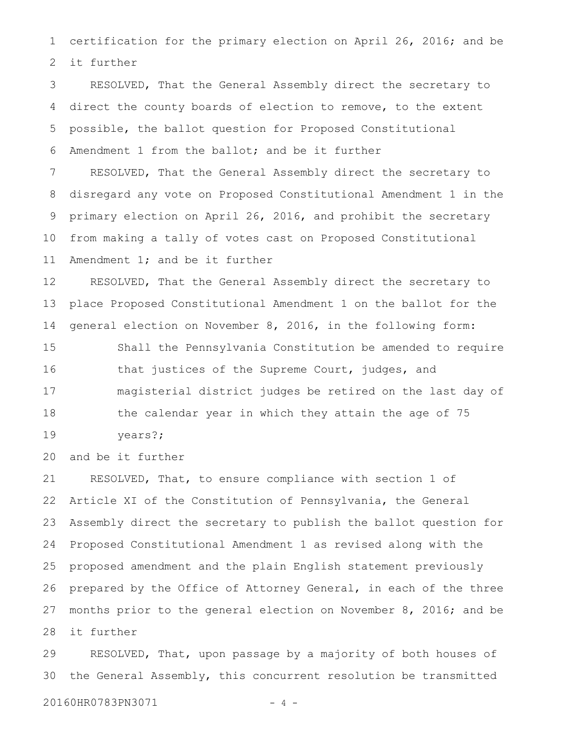certification for the primary election on April 26, 2016; and be it further 1 2

RESOLVED, That the General Assembly direct the secretary to direct the county boards of election to remove, to the extent possible, the ballot question for Proposed Constitutional Amendment 1 from the ballot; and be it further RESOLVED, That the General Assembly direct the secretary to disregard any vote on Proposed Constitutional Amendment 1 in the primary election on April 26, 2016, and prohibit the secretary from making a tally of votes cast on Proposed Constitutional Amendment 1; and be it further 3 4 5 6 7 8 9 10 11

RESOLVED, That the General Assembly direct the secretary to place Proposed Constitutional Amendment 1 on the ballot for the general election on November 8, 2016, in the following form: 12 13 14

Shall the Pennsylvania Constitution be amended to require that justices of the Supreme Court, judges, and magisterial district judges be retired on the last day of the calendar year in which they attain the age of 75 15 16 17 18

years?; 19

and be it further 20

RESOLVED, That, to ensure compliance with section 1 of Article XI of the Constitution of Pennsylvania, the General Assembly direct the secretary to publish the ballot question for Proposed Constitutional Amendment 1 as revised along with the proposed amendment and the plain English statement previously prepared by the Office of Attorney General, in each of the three months prior to the general election on November 8, 2016; and be it further 21 22 23 24 25 26 27 28

RESOLVED, That, upon passage by a majority of both houses of the General Assembly, this concurrent resolution be transmitted 29 30

20160HR0783PN3071 - 4 -